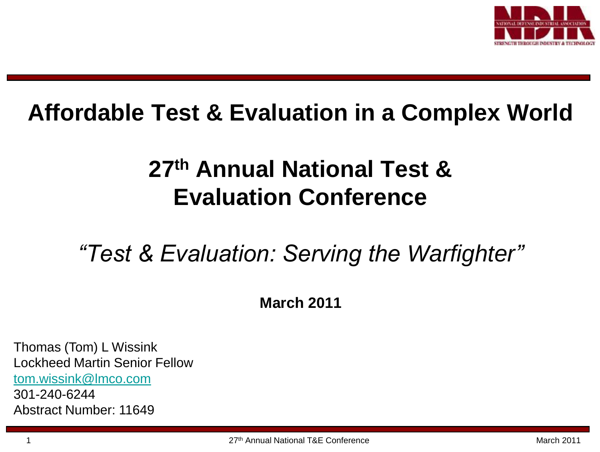

#### **Affordable Test & Evaluation in a Complex World**

#### **27th Annual National Test & Evaluation Conference**

#### *"Test & Evaluation: Serving the Warfighter"*

**March 2011**

Thomas (Tom) L Wissink Lockheed Martin Senior Fellow [tom.wissink@lmco.com](mailto:tom.wissink@lmco.com) 301-240-6244 Abstract Number: 11649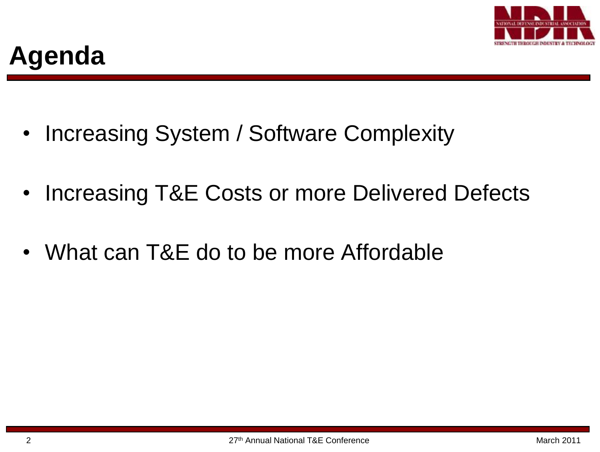

- Increasing System / Software Complexity
- Increasing T&E Costs or more Delivered Defects
- What can T&E do to be more Affordable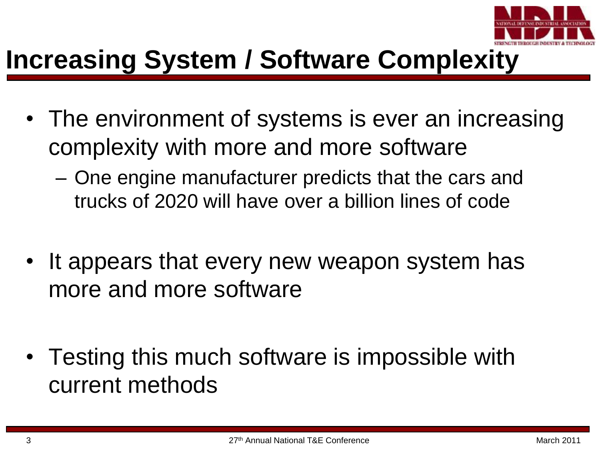

#### **Increasing System / Software Complexity**

- The environment of systems is ever an increasing complexity with more and more software
	- One engine manufacturer predicts that the cars and trucks of 2020 will have over a billion lines of code
- It appears that every new weapon system has more and more software
- Testing this much software is impossible with current methods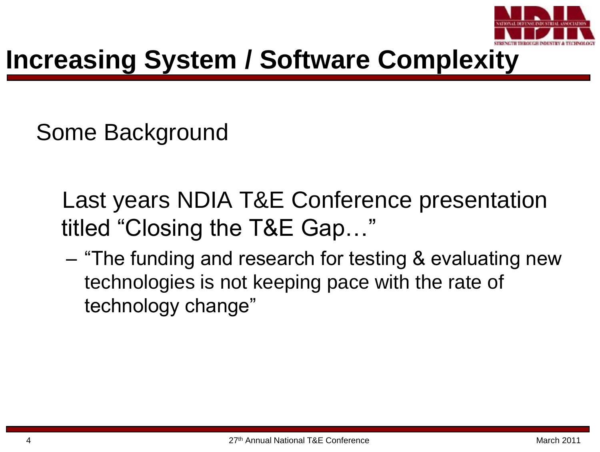

## **Increasing System / Software Complexity**

Some Background

- Last years NDIA T&E Conference presentation titled "Closing the T&E Gap…"
- "The funding and research for testing & evaluating new technologies is not keeping pace with the rate of technology change"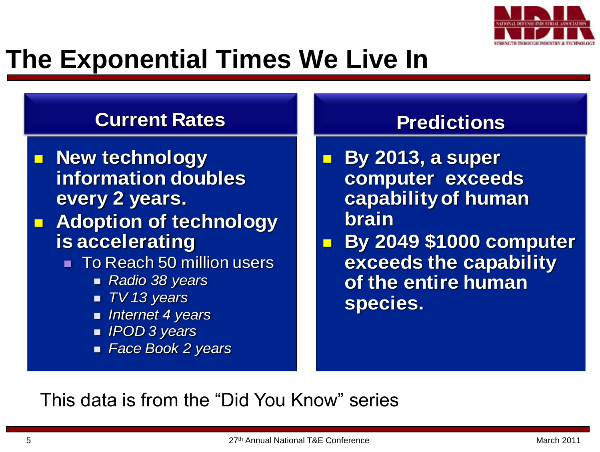

#### **The Exponential Times We Live In**

#### **Current Rates**

- **New technology information doubles every 2 years.**
- $\blacksquare$  **Adoption of technology is accelerating** 
	- $\blacksquare$  To Reach 50 million users
		- *Radio 38 years*
		- *TV 13 years*
		- *Internet 4 years*
		- *IPOD 3 years*
		- *Face Book 2 years*

#### **Predictions**

 **By 2013, a super computer exceeds capability of human brain**

I

 $\blacksquare$  **By 2049 \$1000 computer exceeds the capability of the entire human species.**

This data is from the "Did You Know" series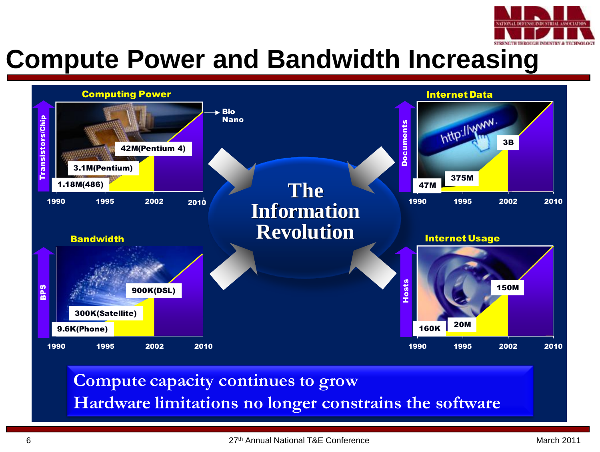

#### **Compute Power and Bandwidth Increasing**



#### **Compute capacity continues to grow Hardware limitations no longer constrains the software**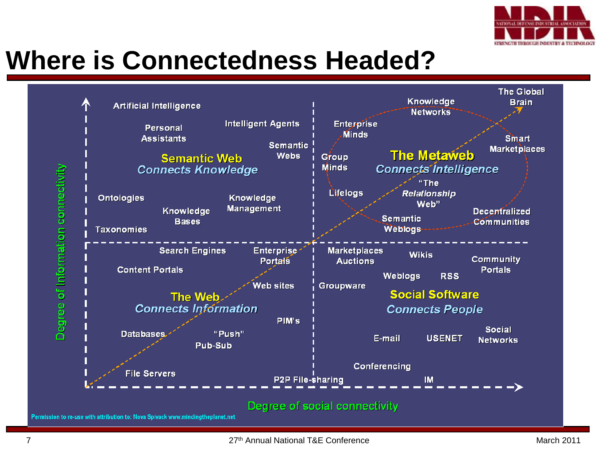

# **Where is Connectedness Headed?**

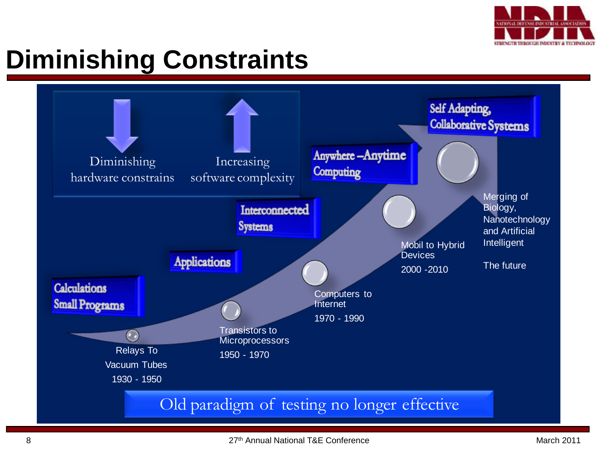

# **Diminishing Constraints**

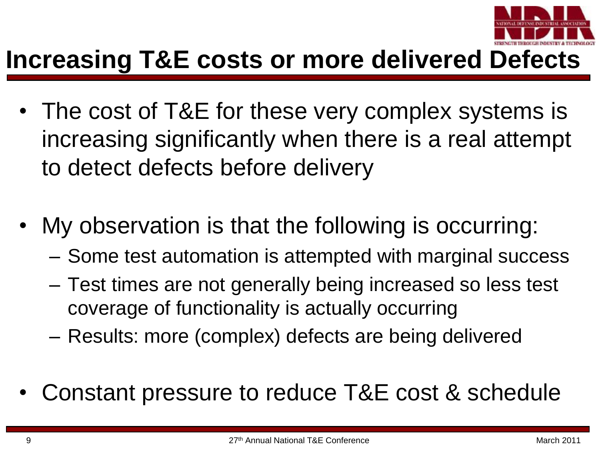

#### **Increasing T&E costs or more delivered Defects**

- The cost of T&E for these very complex systems is increasing significantly when there is a real attempt to detect defects before delivery
- My observation is that the following is occurring:
	- Some test automation is attempted with marginal success
	- Test times are not generally being increased so less test coverage of functionality is actually occurring
	- Results: more (complex) defects are being delivered
- Constant pressure to reduce T&E cost & schedule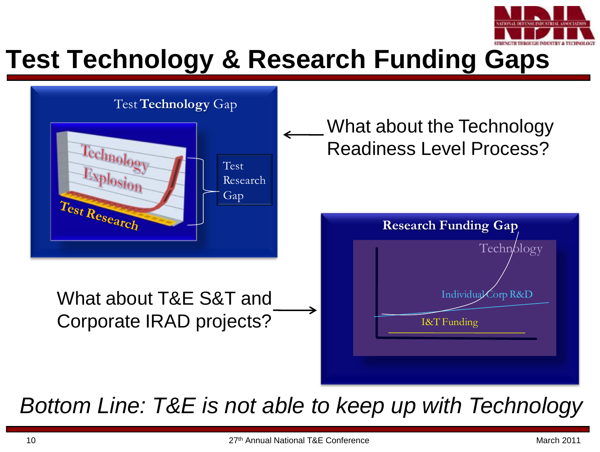

## **Test Technology & Research Funding Gaps**



*Bottom Line: T&E is not able to keep up with Technology*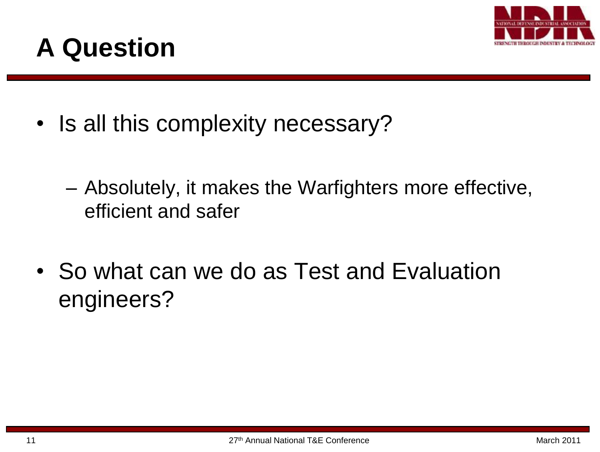

## **A Question**

- Is all this complexity necessary?
	- Absolutely, it makes the Warfighters more effective, efficient and safer
- So what can we do as Test and Evaluation engineers?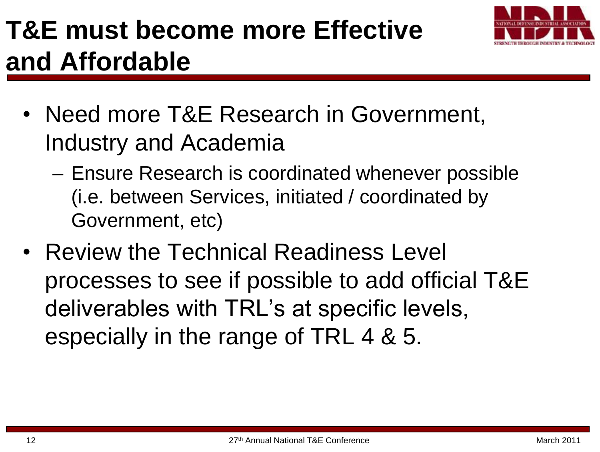# **T&E must become more Effective and Affordable**



- Need more T&E Research in Government, Industry and Academia
	- Ensure Research is coordinated whenever possible (i.e. between Services, initiated / coordinated by Government, etc)
- Review the Technical Readiness Level processes to see if possible to add official T&E deliverables with TRL's at specific levels, especially in the range of TRL 4 & 5.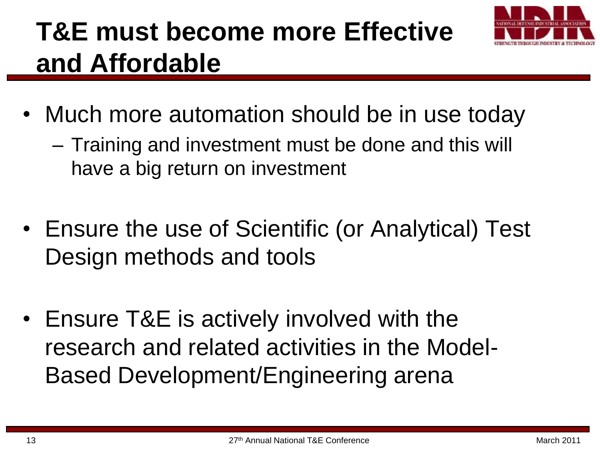# **T&E must become more Effective and Affordable**



- Much more automation should be in use today
	- Training and investment must be done and this will have a big return on investment
- Ensure the use of Scientific (or Analytical) Test Design methods and tools
- Ensure T&E is actively involved with the research and related activities in the Model-Based Development/Engineering arena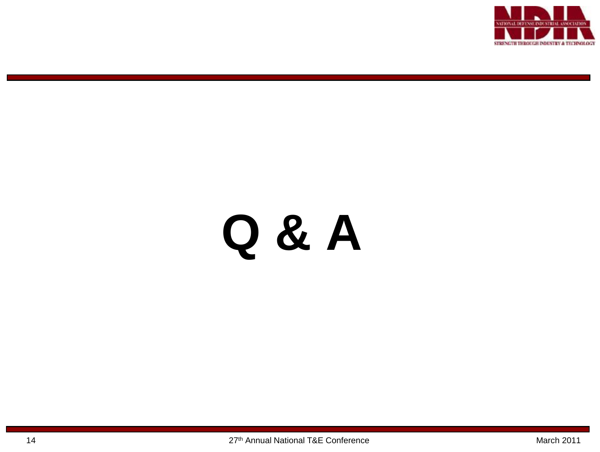

# **Q & A**